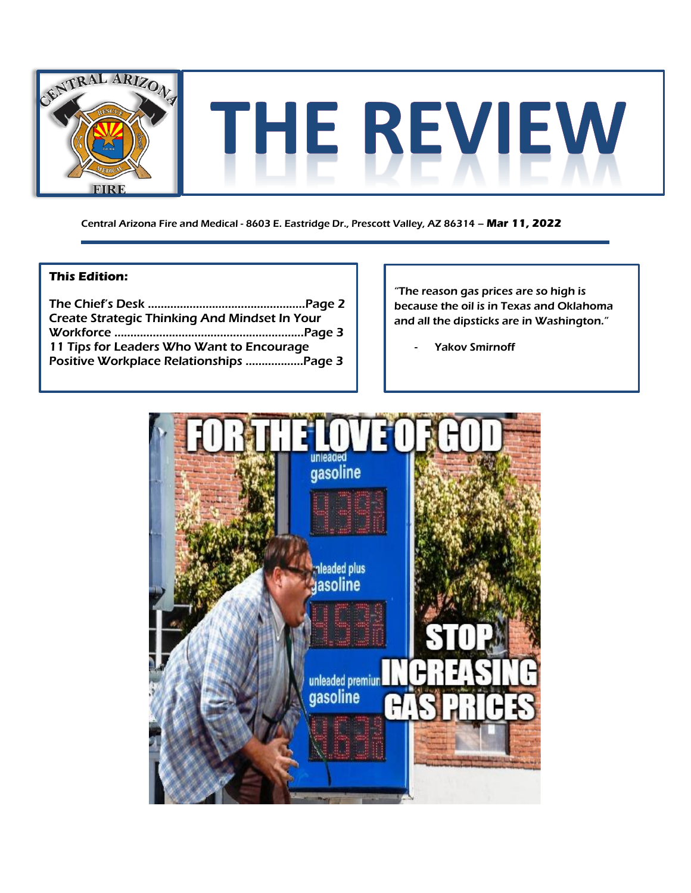

Central Arizona Fire and Medical - 8603 E. Eastridge Dr., Prescott Valley, AZ 86314 – **Mar 11, 2022**

### **This Edition:**

| <b>Create Strategic Thinking And Mindset In Your</b> |  |
|------------------------------------------------------|--|
|                                                      |  |
| 11 Tips for Leaders Who Want to Encourage            |  |
|                                                      |  |

"The reason gas prices are so high is because the oil is in Texas and Oklahoma and all the dipsticks are in Washington."

Yakov Smirnoff

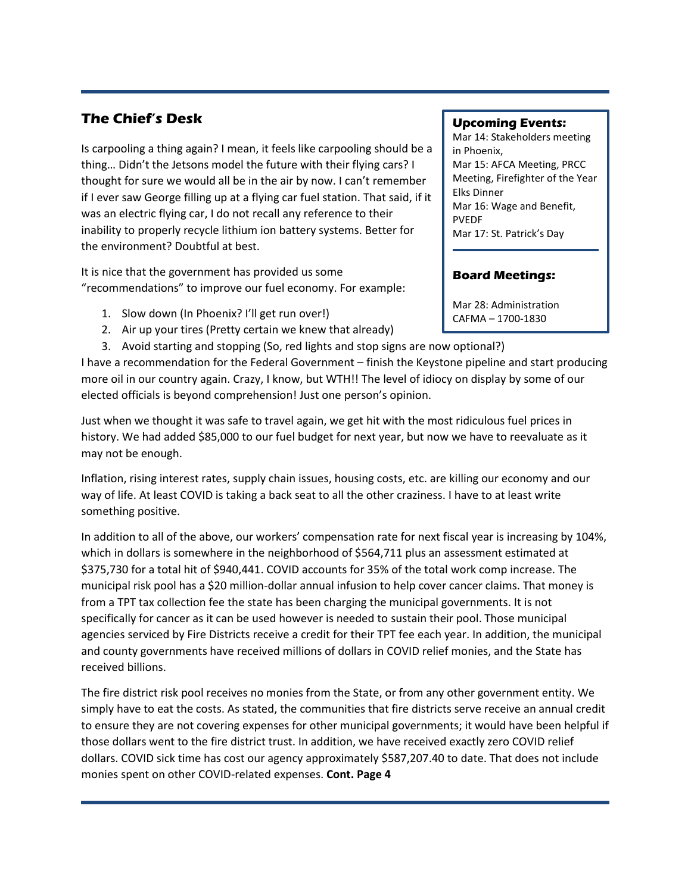## **The Chief's Desk**

Is carpooling a thing again? I mean, it feels like carpooling should be a thing… Didn't the Jetsons model the future with their flying cars? I thought for sure we would all be in the air by now. I can't remember if I ever saw George filling up at a flying car fuel station. That said, if it was an electric flying car, I do not recall any reference to their inability to properly recycle lithium ion battery systems. Better for the environment? Doubtful at best.

It is nice that the government has provided us some "recommendations" to improve our fuel economy. For example:

- 1. Slow down (In Phoenix? I'll get run over!)
- 2. Air up your tires (Pretty certain we knew that already)
- 3. Avoid starting and stopping (So, red lights and stop signs are now optional?)

I have a recommendation for the Federal Government – finish the Keystone pipeline and start producing more oil in our country again. Crazy, I know, but WTH!! The level of idiocy on display by some of our elected officials is beyond comprehension! Just one person's opinion.

Just when we thought it was safe to travel again, we get hit with the most ridiculous fuel prices in history. We had added \$85,000 to our fuel budget for next year, but now we have to reevaluate as it may not be enough.

Inflation, rising interest rates, supply chain issues, housing costs, etc. are killing our economy and our way of life. At least COVID is taking a back seat to all the other craziness. I have to at least write something positive.

In addition to all of the above, our workers' compensation rate for next fiscal year is increasing by 104%, which in dollars is somewhere in the neighborhood of \$564,711 plus an assessment estimated at \$375,730 for a total hit of \$940,441. COVID accounts for 35% of the total work comp increase. The municipal risk pool has a \$20 million-dollar annual infusion to help cover cancer claims. That money is from a TPT tax collection fee the state has been charging the municipal governments. It is not specifically for cancer as it can be used however is needed to sustain their pool. Those municipal agencies serviced by Fire Districts receive a credit for their TPT fee each year. In addition, the municipal and county governments have received millions of dollars in COVID relief monies, and the State has received billions.

The fire district risk pool receives no monies from the State, or from any other government entity. We simply have to eat the costs. As stated, the communities that fire districts serve receive an annual credit to ensure they are not covering expenses for other municipal governments; it would have been helpful if those dollars went to the fire district trust. In addition, we have received exactly zero COVID relief dollars. COVID sick time has cost our agency approximately \$587,207.40 to date. That does not include monies spent on other COVID-related expenses. **Cont. Page 4**

#### **Upcoming Events:**

Mar 14: Stakeholders meeting in Phoenix, Mar 15: AFCA Meeting, PRCC Meeting, Firefighter of the Year Elks Dinner Mar 16: Wage and Benefit, PVEDF Mar 17: St. Patrick's Day

## **Board Meetings:**

Mar 28: Administration CAFMA – 1700-1830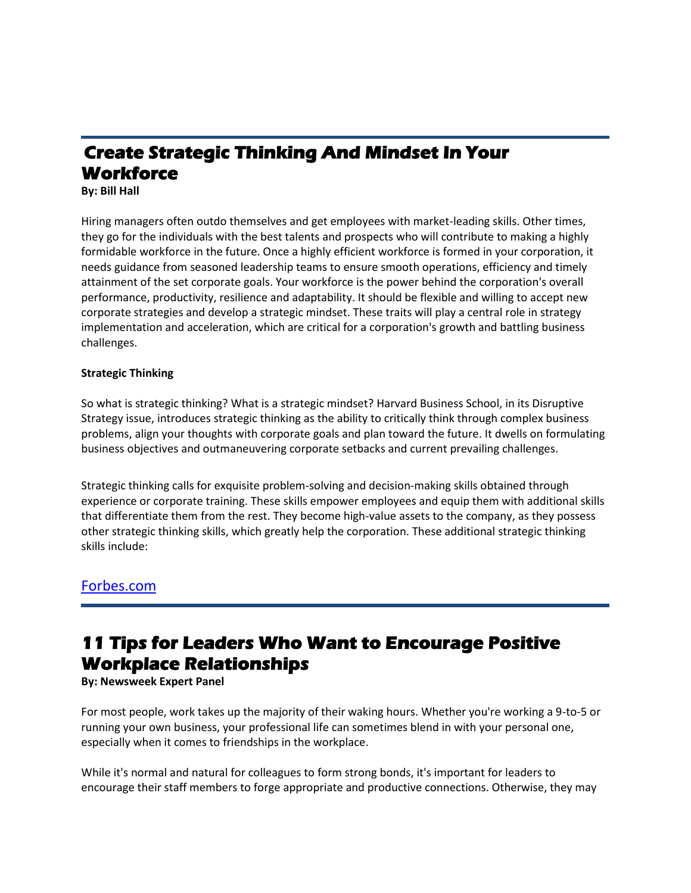# **Create Strategic Thinking And Mindset In Your Workforce**

**By: Bill Hall** 

Hiring managers often outdo themselves and get employees with market-leading skills. Other times, they go for the individuals with the best talents and prospects who will contribute to making a highly formidable workforce in the future. Once a highly efficient workforce is formed in your corporation, it needs guidance from seasoned leadership teams to ensure smooth operations, efficiency and timely attainment of the set corporate goals. Your workforce is the power behind the corporation's overall performance, productivity, resilience and adaptability. It should be flexible and willing to accept new corporate strategies and develop a strategic mindset. These traits will play a central role in strategy implementation and acceleration, which are critical for a corporation's growth and battling business challenges.

#### **Strategic Thinking**

So what is strategic thinking? What is a strategic mindset? Harvard Business School, in its Disruptive Strategy issue, introduces strategic thinking as the ability to critically think through complex business problems, align your thoughts with corporate goals and plan toward the future. It dwells on formulating business objectives and outmaneuvering corporate setbacks and current prevailing challenges.

Strategic thinking calls for exquisite problem-solving and decision-making skills obtained through experience or corporate training. These skills empower employees and equip them with additional skills that differentiate them from the rest. They become high-value assets to the company, as they possess other strategic thinking skills, which greatly help the corporation. These additional strategic thinking skills include:

## [Forbes.com](https://www.forbes.com/sites/forbescoachescouncil/2022/02/24/create-strategic-thinking-and-mindset-in-your-workforce/?sh=6ebc2a7561e2)

# **11 Tips for Leaders Who Want to Encourage Positive Workplace Relationships**

**By: Newsweek Expert Panel**

For most people, work takes up the majority of their waking hours. Whether you're working a 9-to-5 or running your own business, your professional life can sometimes blend in with your personal one, especially when it comes to friendships in the workplace.

While it's normal and natural for colleagues to form strong bonds, it's important for leaders to encourage their staff members to forge appropriate and productive connections. Otherwise, they may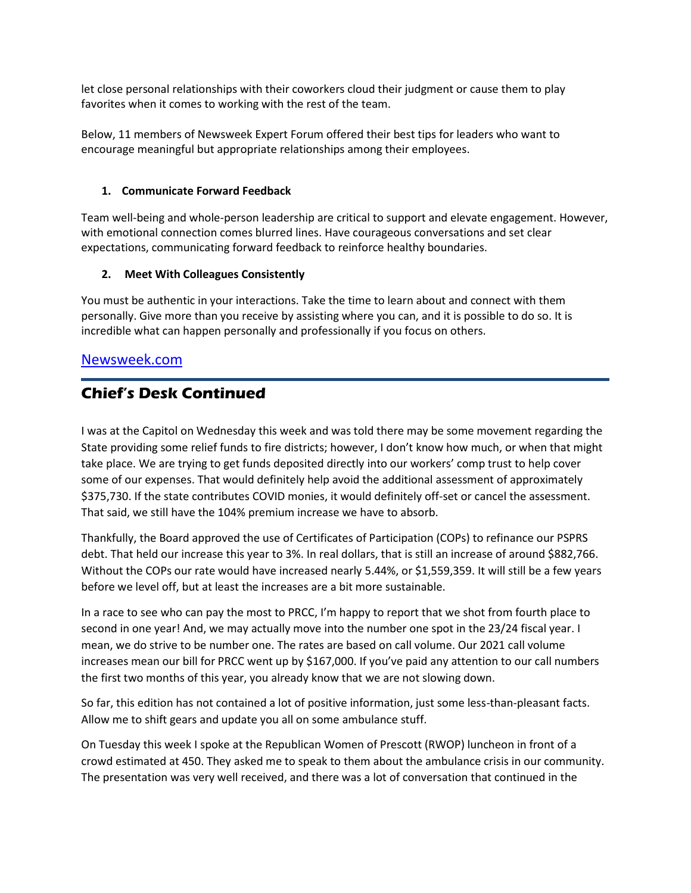let close personal relationships with their coworkers cloud their judgment or cause them to play favorites when it comes to working with the rest of the team.

Below, 11 members of Newsweek Expert Forum offered their best tips for leaders who want to encourage meaningful but appropriate relationships among their employees.

#### **1. Communicate Forward Feedback**

Team well-being and whole-person leadership are critical to support and elevate engagement. However, with emotional connection comes blurred lines. Have courageous conversations and set clear expectations, communicating forward feedback to reinforce healthy boundaries.

#### **2. Meet With Colleagues Consistently**

You must be authentic in your interactions. Take the time to learn about and connect with them personally. Give more than you receive by assisting where you can, and it is possible to do so. It is incredible what can happen personally and professionally if you focus on others.

## [Newsweek.com](https://www.newsweek.com/11-tips-leaders-who-want-encourage-positive-workplace-relationships-1681943)

## **Chief's Desk Continued**

I was at the Capitol on Wednesday this week and was told there may be some movement regarding the State providing some relief funds to fire districts; however, I don't know how much, or when that might take place. We are trying to get funds deposited directly into our workers' comp trust to help cover some of our expenses. That would definitely help avoid the additional assessment of approximately \$375,730. If the state contributes COVID monies, it would definitely off-set or cancel the assessment. That said, we still have the 104% premium increase we have to absorb.

Thankfully, the Board approved the use of Certificates of Participation (COPs) to refinance our PSPRS debt. That held our increase this year to 3%. In real dollars, that is still an increase of around \$882,766. Without the COPs our rate would have increased nearly 5.44%, or \$1,559,359. It will still be a few years before we level off, but at least the increases are a bit more sustainable.

In a race to see who can pay the most to PRCC, I'm happy to report that we shot from fourth place to second in one year! And, we may actually move into the number one spot in the 23/24 fiscal year. I mean, we do strive to be number one. The rates are based on call volume. Our 2021 call volume increases mean our bill for PRCC went up by \$167,000. If you've paid any attention to our call numbers the first two months of this year, you already know that we are not slowing down.

So far, this edition has not contained a lot of positive information, just some less-than-pleasant facts. Allow me to shift gears and update you all on some ambulance stuff.

On Tuesday this week I spoke at the Republican Women of Prescott (RWOP) luncheon in front of a crowd estimated at 450. They asked me to speak to them about the ambulance crisis in our community. The presentation was very well received, and there was a lot of conversation that continued in the